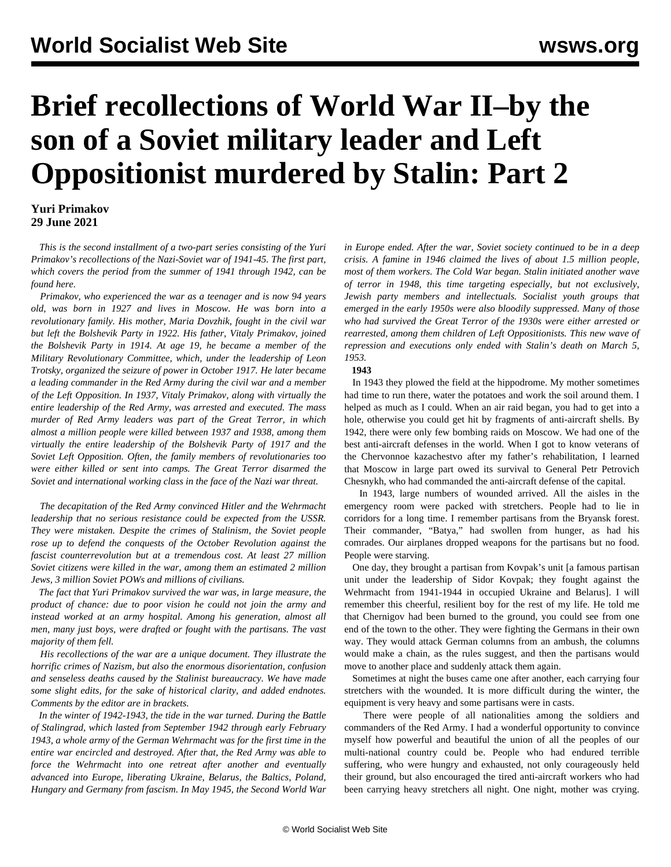# **Brief recollections of World War II–by the son of a Soviet military leader and Left Oppositionist murdered by Stalin: Part 2**

### **Yuri Primakov 29 June 2021**

 *This is the second installment of a two-part series consisting of the Yuri Primakov's recollections of the Nazi-Soviet war of 1941-45. The first part, which covers the period from the summer of 1941 through 1942, can be found [here](/en/articles/2021/06/29/yur1-j29.html).*

 *Primakov, who experienced the war as a teenager and is now 94 years old, was born in 1927 and lives in Moscow. He was born into a revolutionary family. His mother, Maria Dovzhik, fought in the civil war but left the Bolshevik Party in 1922. His father, Vitaly Primakov, joined the Bolshevik Party in 1914. At age 19, he became a member of the Military Revolutionary Committee, which, under the leadership of Leon Trotsky, organized the seizure of power in October 1917. He later became a leading commander in the Red Army during the civil war and a member of the Left Opposition. In 1937, Vitaly Primakov, along with virtually the entire leadership of the Red Army, was arrested and executed. The mass murder of Red Army leaders was part of the Great Terror, in which almost a million people were killed between 1937 and 1938, among them virtually the entire leadership of the Bolshevik Party of 1917 and the Soviet Left Opposition. Often, the family members of revolutionaries too were either killed or sent into camps. The Great Terror disarmed the Soviet and international working class in the face of the Nazi war threat.*

 *The decapitation of the Red Army convinced Hitler and the Wehrmacht leadership that no serious resistance could be expected from the USSR. They were mistaken. Despite the crimes of Stalinism, the Soviet people rose up to defend the conquests of the October Revolution against the fascist counterrevolution but at a tremendous cost. At least 27 million Soviet citizens were killed in the war, among them an estimated 2 million Jews, 3 million Soviet POWs and millions of civilians.*

 *The fact that Yuri Primakov survived the war was, in large measure, the product of chance: due to poor vision he could not join the army and instead worked at an army hospital. Among his generation, almost all men, many just boys, were drafted or fought with the partisans. The vast majority of them fell.*

 *His recollections of the war are a unique document. They illustrate the horrific crimes of Nazism, but also the enormous disorientation, confusion and senseless deaths caused by the Stalinist bureaucracy. We have made some slight edits, for the sake of historical clarity, and added endnotes. Comments by the editor are in brackets.*

 *In the winter of 1942-1943, the tide in the war turned. During the Battle of Stalingrad, which lasted from September 1942 through early February 1943, a whole army of the German Wehrmacht was for the first time in the entire war encircled and destroyed. After that, the Red Army was able to force the Wehrmacht into one retreat after another and eventually advanced into Europe, liberating Ukraine, Belarus, the Baltics, Poland, Hungary and Germany from fascism. In May 1945, the Second World War* *in Europe ended. After the war, Soviet society continued to be in a deep crisis. A famine in 1946 claimed the lives of about 1.5 million people, most of them workers. The Cold War began. Stalin initiated another wave of terror in 1948, this time targeting especially, but not exclusively, Jewish party members and intellectuals. Socialist youth groups that emerged in the early 1950s were also bloodily suppressed. Many of those who had survived the Great Terror of the 1930s were either arrested or rearrested, among them children of Left Oppositionists. This new wave of repression and executions only ended with Stalin's death on March 5, 1953.*

#### **1943**

 In 1943 they plowed the field at the hippodrome. My mother sometimes had time to run there, water the potatoes and work the soil around them. I helped as much as I could. When an air raid began, you had to get into a hole, otherwise you could get hit by fragments of anti-aircraft shells. By 1942, there were only few bombing raids on Moscow. We had one of the best anti-aircraft defenses in the world. When I got to know veterans of the Chervonnoe kazachestvo after my father's rehabilitation, I learned that Moscow in large part owed its survival to General Petr Petrovich Chesnykh, who had commanded the anti-aircraft defense of the capital.

 In 1943, large numbers of wounded arrived. All the aisles in the emergency room were packed with stretchers. People had to lie in corridors for a long time. I remember partisans from the Bryansk forest. Their commander, "Batya," had swollen from hunger, as had his comrades. Our airplanes dropped weapons for the partisans but no food. People were starving.

 One day, they brought a partisan from Kovpak's unit [a famous partisan unit under the leadership of Sidor Kovpak; they fought against the Wehrmacht from 1941-1944 in occupied Ukraine and Belarus]. I will remember this cheerful, resilient boy for the rest of my life. He told me that Chernigov had been burned to the ground, you could see from one end of the town to the other. They were fighting the Germans in their own way. They would attack German columns from an ambush, the columns would make a chain, as the rules suggest, and then the partisans would move to another place and suddenly attack them again.

 Sometimes at night the buses came one after another, each carrying four stretchers with the wounded. It is more difficult during the winter, the equipment is very heavy and some partisans were in casts.

 There were people of all nationalities among the soldiers and commanders of the Red Army. I had a wonderful opportunity to convince myself how powerful and beautiful the union of all the peoples of our multi-national country could be. People who had endured terrible suffering, who were hungry and exhausted, not only courageously held their ground, but also encouraged the tired anti-aircraft workers who had been carrying heavy stretchers all night. One night, mother was crying.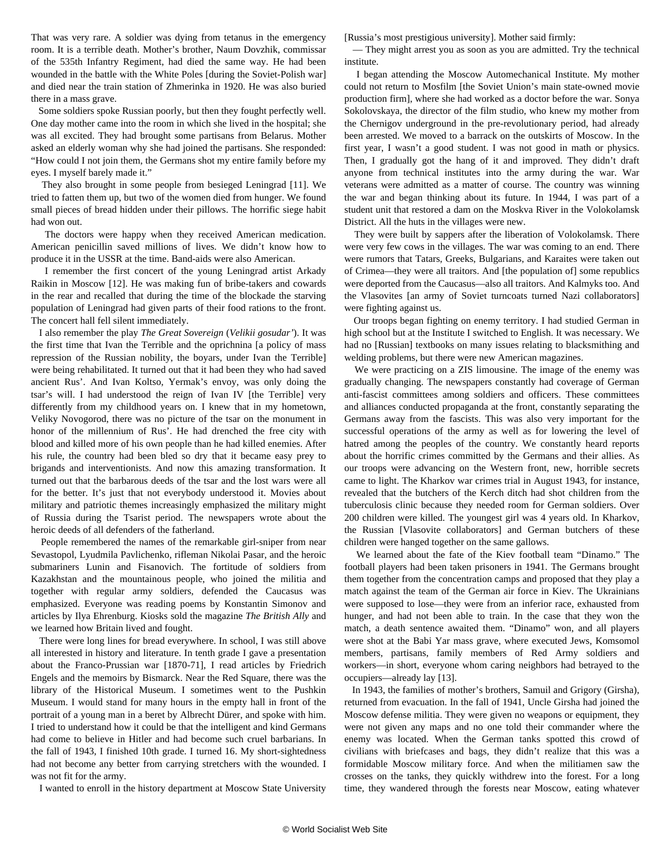That was very rare. A soldier was dying from tetanus in the emergency room. It is a terrible death. Mother's brother, Naum Dovzhik, commissar of the 535th Infantry Regiment, had died the same way. He had been wounded in the battle with the White Poles [during the Soviet-Polish war] and died near the train station of Zhmerinka in 1920. He was also buried there in a mass grave.

 Some soldiers spoke Russian poorly, but then they fought perfectly well. One day mother came into the room in which she lived in the hospital; she was all excited. They had brought some partisans from Belarus. Mother asked an elderly woman why she had joined the partisans. She responded: "How could I not join them, the Germans shot my entire family before my eyes. I myself barely made it."

 They also brought in some people from besieged Leningrad [11]. We tried to fatten them up, but two of the women died from hunger. We found small pieces of bread hidden under their pillows. The horrific siege habit had won out.

 The doctors were happy when they received American medication. American penicillin saved millions of lives. We didn't know how to produce it in the USSR at the time. Band-aids were also American.

 I remember the first concert of the young Leningrad artist Arkady Raikin in Moscow [12]. He was making fun of bribe-takers and cowards in the rear and recalled that during the time of the blockade the starving population of Leningrad had given parts of their food rations to the front. The concert hall fell silent immediately.

 I also remember the play *The Great Sovereign* (*Velikii gosudar'*). It was the first time that Ivan the Terrible and the oprichnina [a policy of mass repression of the Russian nobility, the boyars, under Ivan the Terrible] were being rehabilitated. It turned out that it had been they who had saved ancient Rus'. And Ivan Koltso, Yermak's envoy, was only doing the tsar's will. I had understood the reign of Ivan IV [the Terrible] very differently from my childhood years on. I knew that in my hometown, Veliky Novogorod, there was no picture of the tsar on the monument in honor of the millennium of Rus'. He had drenched the free city with blood and killed more of his own people than he had killed enemies. After his rule, the country had been bled so dry that it became easy prey to brigands and interventionists. And now this amazing transformation. It turned out that the barbarous deeds of the tsar and the lost wars were all for the better. It's just that not everybody understood it. Movies about military and patriotic themes increasingly emphasized the military might of Russia during the Tsarist period. The newspapers wrote about the heroic deeds of all defenders of the fatherland.

 People remembered the names of the remarkable girl-sniper from near Sevastopol, Lyudmila Pavlichenko, rifleman Nikolai Pasar, and the heroic submariners Lunin and Fisanovich. The fortitude of soldiers from Kazakhstan and the mountainous people, who joined the militia and together with regular army soldiers, defended the Caucasus was emphasized. Everyone was reading poems by Konstantin Simonov and articles by Ilya Ehrenburg. Kiosks sold the magazine *The British Ally* and we learned how Britain lived and fought.

 There were long lines for bread everywhere. In school, I was still above all interested in history and literature. In tenth grade I gave a presentation about the Franco-Prussian war [1870-71], I read articles by Friedrich Engels and the memoirs by Bismarck. Near the Red Square, there was the library of the Historical Museum. I sometimes went to the Pushkin Museum. I would stand for many hours in the empty hall in front of the portrait of a young man in a beret by Albrecht Dürer, and spoke with him. I tried to understand how it could be that the intelligent and kind Germans had come to believe in Hitler and had become such cruel barbarians. In the fall of 1943, I finished 10th grade. I turned 16. My short-sightedness had not become any better from carrying stretchers with the wounded. I was not fit for the army.

I wanted to enroll in the history department at Moscow State University

[Russia's most prestigious university]. Mother said firmly:

 — They might arrest you as soon as you are admitted. Try the technical institute.

 I began attending the Moscow Automechanical Institute. My mother could not return to Mosfilm [the Soviet Union's main state-owned movie production firm], where she had worked as a doctor before the war. Sonya Sokolovskaya, the director of the film studio, who knew my mother from the Chernigov underground in the pre-revolutionary period, had already been arrested. We moved to a barrack on the outskirts of Moscow. In the first year, I wasn't a good student. I was not good in math or physics. Then, I gradually got the hang of it and improved. They didn't draft anyone from technical institutes into the army during the war. War veterans were admitted as a matter of course. The country was winning the war and began thinking about its future. In 1944, I was part of a student unit that restored a dam on the Moskva River in the Volokolamsk District. All the huts in the villages were new.

 They were built by sappers after the liberation of Volokolamsk. There were very few cows in the villages. The war was coming to an end. There were rumors that Tatars, Greeks, Bulgarians, and Karaites were taken out of Crimea—they were all traitors. And [the population of] some republics were deported from the Caucasus—also all traitors. And Kalmyks too. And the Vlasovites [an army of Soviet turncoats turned Nazi collaborators] were fighting against us.

 Our troops began fighting on enemy territory. I had studied German in high school but at the Institute I switched to English. It was necessary. We had no [Russian] textbooks on many issues relating to blacksmithing and welding problems, but there were new American magazines.

 We were practicing on a ZIS limousine. The image of the enemy was gradually changing. The newspapers constantly had coverage of German anti-fascist committees among soldiers and officers. These committees and alliances conducted propaganda at the front, constantly separating the Germans away from the fascists. This was also very important for the successful operations of the army as well as for lowering the level of hatred among the peoples of the country. We constantly heard reports about the horrific crimes committed by the Germans and their allies. As our troops were advancing on the Western front, new, horrible secrets came to light. The Kharkov war crimes trial in August 1943, for instance, revealed that the butchers of the Kerch ditch had shot children from the tuberculosis clinic because they needed room for German soldiers. Over 200 children were killed. The youngest girl was 4 years old. In Kharkov, the Russian [Vlasovite collaborators] and German butchers of these children were hanged together on the same gallows.

 We learned about the fate of the Kiev football team "Dinamo." The football players had been taken prisoners in 1941. The Germans brought them together from the concentration camps and proposed that they play a match against the team of the German air force in Kiev. The Ukrainians were supposed to lose—they were from an inferior race, exhausted from hunger, and had not been able to train. In the case that they won the match, a death sentence awaited them. "Dinamo" won, and all players were shot at the Babi Yar mass grave, where executed Jews, Komsomol members, partisans, family members of Red Army soldiers and workers—in short, everyone whom caring neighbors had betrayed to the occupiers—already lay [13].

 In 1943, the families of mother's brothers, Samuil and Grigory (Girsha), returned from evacuation. In the fall of 1941, Uncle Girsha had joined the Moscow defense militia. They were given no weapons or equipment, they were not given any maps and no one told their commander where the enemy was located. When the German tanks spotted this crowd of civilians with briefcases and bags, they didn't realize that this was a formidable Moscow military force. And when the militiamen saw the crosses on the tanks, they quickly withdrew into the forest. For a long time, they wandered through the forests near Moscow, eating whatever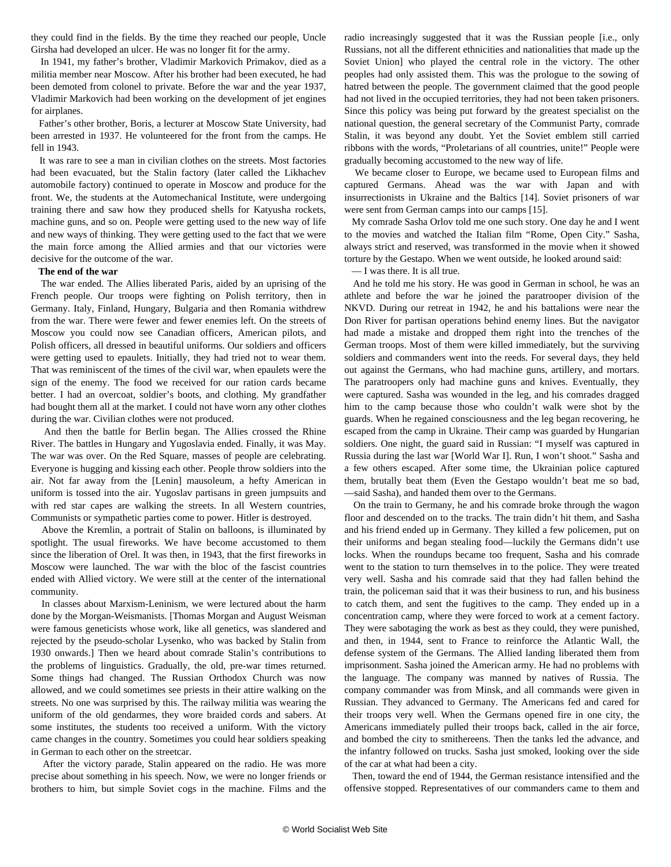they could find in the fields. By the time they reached our people, Uncle Girsha had developed an ulcer. He was no longer fit for the army.

 In 1941, my father's brother, Vladimir Markovich Primakov, died as a militia member near Moscow. After his brother had been executed, he had been demoted from colonel to private. Before the war and the year 1937, Vladimir Markovich had been working on the development of jet engines for airplanes.

 Father's other brother, Boris, a lecturer at Moscow State University, had been arrested in 1937. He volunteered for the front from the camps. He fell in 1943.

 It was rare to see a man in civilian clothes on the streets. Most factories had been evacuated, but the Stalin factory (later called the Likhachev automobile factory) continued to operate in Moscow and produce for the front. We, the students at the Automechanical Institute, were undergoing training there and saw how they produced shells for Katyusha rockets, machine guns, and so on. People were getting used to the new way of life and new ways of thinking. They were getting used to the fact that we were the main force among the Allied armies and that our victories were decisive for the outcome of the war.

#### **The end of the war**

 The war ended. The Allies liberated Paris, aided by an uprising of the French people. Our troops were fighting on Polish territory, then in Germany. Italy, Finland, Hungary, Bulgaria and then Romania withdrew from the war. There were fewer and fewer enemies left. On the streets of Moscow you could now see Canadian officers, American pilots, and Polish officers, all dressed in beautiful uniforms. Our soldiers and officers were getting used to epaulets. Initially, they had tried not to wear them. That was reminiscent of the times of the civil war, when epaulets were the sign of the enemy. The food we received for our ration cards became better. I had an overcoat, soldier's boots, and clothing. My grandfather had bought them all at the market. I could not have worn any other clothes during the war. Civilian clothes were not produced.

 And then the battle for Berlin began. The Allies crossed the Rhine River. The battles in Hungary and Yugoslavia ended. Finally, it was May. The war was over. On the Red Square, masses of people are celebrating. Everyone is hugging and kissing each other. People throw soldiers into the air. Not far away from the [Lenin] mausoleum, a hefty American in uniform is tossed into the air. Yugoslav partisans in green jumpsuits and with red star capes are walking the streets. In all Western countries, Communists or sympathetic parties come to power. Hitler is destroyed.

 Above the Kremlin, a portrait of Stalin on balloons, is illuminated by spotlight. The usual fireworks. We have become accustomed to them since the liberation of Orel. It was then, in 1943, that the first fireworks in Moscow were launched. The war with the bloc of the fascist countries ended with Allied victory. We were still at the center of the international community.

 In classes about Marxism-Leninism, we were lectured about the harm done by the Morgan-Weismanists. [Thomas Morgan and August Weisman were famous geneticists whose work, like all genetics, was slandered and rejected by the pseudo-scholar Lysenko, who was backed by Stalin from 1930 onwards.] Then we heard about comrade Stalin's contributions to the problems of linguistics. Gradually, the old, pre-war times returned. Some things had changed. The Russian Orthodox Church was now allowed, and we could sometimes see priests in their attire walking on the streets. No one was surprised by this. The railway militia was wearing the uniform of the old gendarmes, they wore braided cords and sabers. At some institutes, the students too received a uniform. With the victory came changes in the country. Sometimes you could hear soldiers speaking in German to each other on the streetcar.

 After the victory parade, Stalin appeared on the radio. He was more precise about something in his speech. Now, we were no longer friends or brothers to him, but simple Soviet cogs in the machine. Films and the radio increasingly suggested that it was the Russian people [i.e., only Russians, not all the different ethnicities and nationalities that made up the Soviet Union] who played the central role in the victory. The other peoples had only assisted them. This was the prologue to the sowing of hatred between the people. The government claimed that the good people had not lived in the occupied territories, they had not been taken prisoners. Since this policy was being put forward by the greatest specialist on the national question, the general secretary of the Communist Party, comrade Stalin, it was beyond any doubt. Yet the Soviet emblem still carried ribbons with the words, "Proletarians of all countries, unite!" People were gradually becoming accustomed to the new way of life.

 We became closer to Europe, we became used to European films and captured Germans. Ahead was the war with Japan and with insurrectionists in Ukraine and the Baltics [14]. Soviet prisoners of war were sent from German camps into our camps [15].

 My comrade Sasha Orlov told me one such story. One day he and I went to the movies and watched the Italian film "Rome, Open City." Sasha, always strict and reserved, was transformed in the movie when it showed torture by the Gestapo. When we went outside, he looked around said:

— I was there. It is all true.

 And he told me his story. He was good in German in school, he was an athlete and before the war he joined the paratrooper division of the NKVD. During our retreat in 1942, he and his battalions were near the Don River for partisan operations behind enemy lines. But the navigator had made a mistake and dropped them right into the trenches of the German troops. Most of them were killed immediately, but the surviving soldiers and commanders went into the reeds. For several days, they held out against the Germans, who had machine guns, artillery, and mortars. The paratroopers only had machine guns and knives. Eventually, they were captured. Sasha was wounded in the leg, and his comrades dragged him to the camp because those who couldn't walk were shot by the guards. When he regained consciousness and the leg began recovering, he escaped from the camp in Ukraine. Their camp was guarded by Hungarian soldiers. One night, the guard said in Russian: "I myself was captured in Russia during the last war [World War I]. Run, I won't shoot." Sasha and a few others escaped. After some time, the Ukrainian police captured them, brutally beat them (Even the Gestapo wouldn't beat me so bad, —said Sasha), and handed them over to the Germans.

 On the train to Germany, he and his comrade broke through the wagon floor and descended on to the tracks. The train didn't hit them, and Sasha and his friend ended up in Germany. They killed a few policemen, put on their uniforms and began stealing food—luckily the Germans didn't use locks. When the roundups became too frequent, Sasha and his comrade went to the station to turn themselves in to the police. They were treated very well. Sasha and his comrade said that they had fallen behind the train, the policeman said that it was their business to run, and his business to catch them, and sent the fugitives to the camp. They ended up in a concentration camp, where they were forced to work at a cement factory. They were sabotaging the work as best as they could, they were punished, and then, in 1944, sent to France to reinforce the Atlantic Wall, the defense system of the Germans. The Allied landing liberated them from imprisonment. Sasha joined the American army. He had no problems with the language. The company was manned by natives of Russia. The company commander was from Minsk, and all commands were given in Russian. They advanced to Germany. The Americans fed and cared for their troops very well. When the Germans opened fire in one city, the Americans immediately pulled their troops back, called in the air force, and bombed the city to smithereens. Then the tanks led the advance, and the infantry followed on trucks. Sasha just smoked, looking over the side of the car at what had been a city.

 Then, toward the end of 1944, the German resistance intensified and the offensive stopped. Representatives of our commanders came to them and